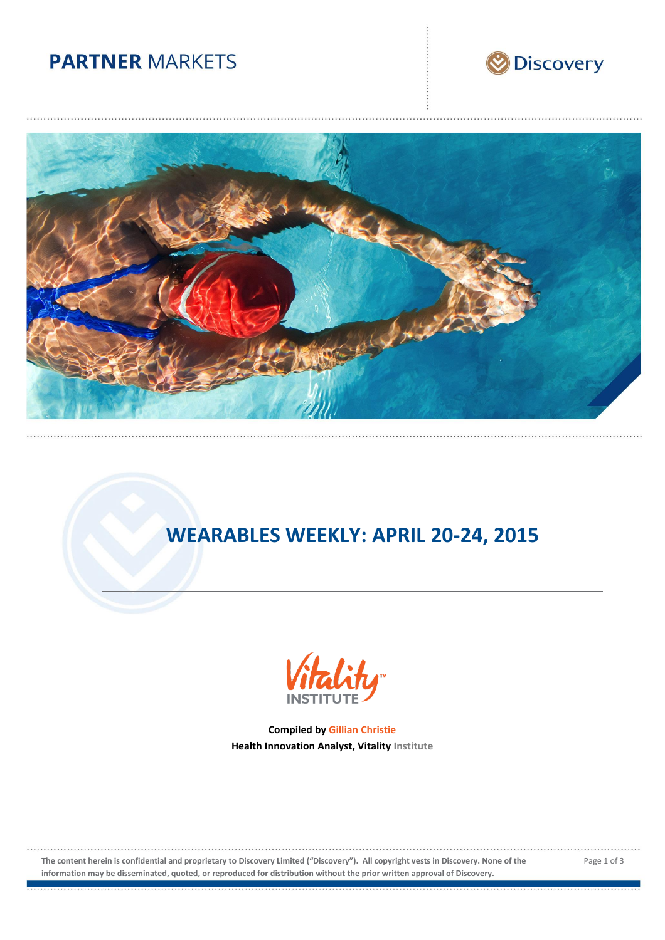# **PARTNER MARKETS**





# **WEARABLES WEEKLY: APRIL 20-24, 2015**

![](_page_0_Picture_4.jpeg)

**Compiled by Gillian Christie Health Innovation Analyst, Vitality Institute**

**The content herein is confidential and proprietary to Discovery Limited ("Discovery"). All copyright vests in Discovery. None of the information may be disseminated, quoted, or reproduced for distribution without the prior written approval of Discovery.**

Page 1 of 3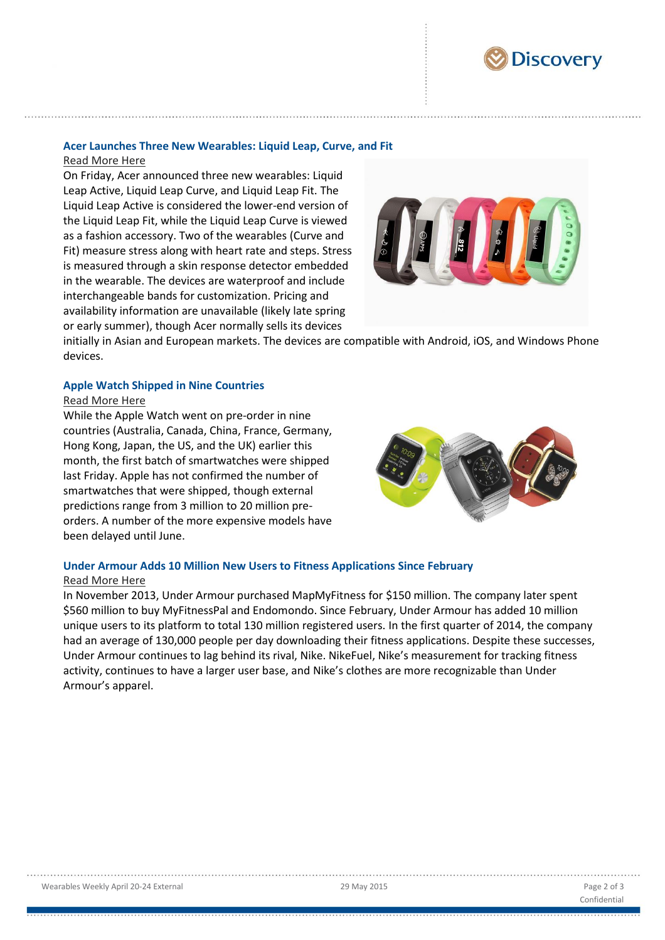![](_page_1_Picture_0.jpeg)

### **Acer Launches Three New Wearables: Liquid Leap, Curve, and Fit**

#### [Read More Here](http://gadgets.ndtv.com/wearables/news/acer-unveils-liquid-leap-active-curve-and-fit-smartbands-685262)

On Friday, Acer announced three new wearables: Liquid Leap Active, Liquid Leap Curve, and Liquid Leap Fit. The Liquid Leap Active is considered the lower-end version of the Liquid Leap Fit, while the Liquid Leap Curve is viewed as a fashion accessory. Two of the wearables (Curve and Fit) measure stress along with heart rate and steps. Stress is measured through a skin response detector embedded in the wearable. The devices are waterproof and include interchangeable bands for customization. Pricing and availability information are unavailable (likely late spring or early summer), though Acer normally sells its devices

![](_page_1_Picture_4.jpeg)

initially in Asian and European markets. The devices are compatible with Android, iOS, and Windows Phone devices.

#### **Apple Watch Shipped in Nine Countries**

#### [Read More Here](http://techcrunch.com/2015/04/23/say-hello-to-the-apple-watch-2/?ncid=tcdaily#.jrlenl:ZugY)

While the Apple Watch went on pre-order in nine countries (Australia, Canada, China, France, Germany, Hong Kong, Japan, the US, and the UK) earlier this month, the first batch of smartwatches were shipped last Friday. Apple has not confirmed the number of smartwatches that were shipped, though external predictions range from 3 million to 20 million preorders. A number of the more expensive models have been delayed until June.

![](_page_1_Picture_9.jpeg)

## **Under Armour Adds 10 Million New Users to Fitness Applications Since February**

### [Read More Here](http://mobihealthnews.com/42585/under-armour-added-10-million-new-users-for-its-fitness-apps-since-february/)

In November 2013, Under Armour purchased MapMyFitness for \$150 million. The company later spent \$560 million to buy MyFitnessPal and Endomondo. Since February, Under Armour has added 10 million unique users to its platform to total 130 million registered users. In the first quarter of 2014, the company had an average of 130,000 people per day downloading their fitness applications. Despite these successes, Under Armour continues to lag behind its rival, Nike. NikeFuel, Nike's measurement for tracking fitness activity, continues to have a larger user base, and Nike's clothes are more recognizable than Under Armour's apparel.